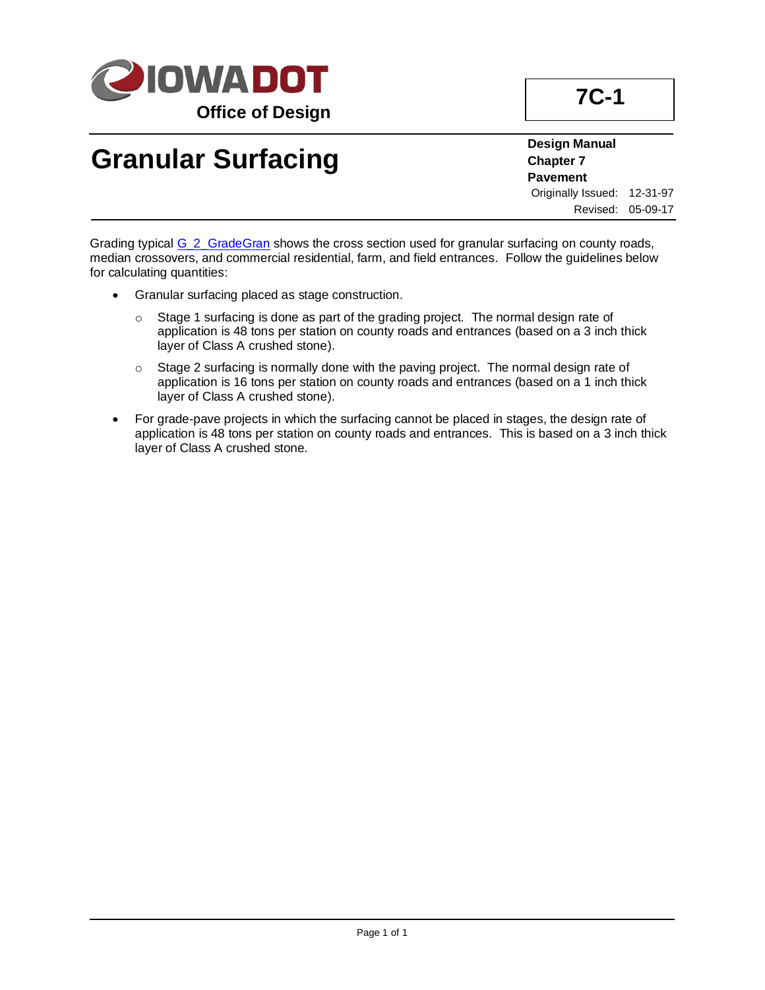

## **Granular Surfacing**

**Design Manual Chapter 7 Pavement** Originally Issued: 12-31-97 Revised: 05-09-17

Grading typical [G\\_2\\_GradeGran](../tnt/PDFsandWebFiles/IndividualPDFs/G_2_GradeGran.pdf) shows the cross section used for granular surfacing on county roads, median crossovers, and commercial residential, farm, and field entrances. Follow the guidelines below for calculating quantities:

- Granular surfacing placed as stage construction.
	- o Stage 1 surfacing is done as part of the grading project. The normal design rate of application is 48 tons per station on county roads and entrances (based on a 3 inch thick layer of Class A crushed stone).
	- $\circ$  Stage 2 surfacing is normally done with the paving project. The normal design rate of application is 16 tons per station on county roads and entrances (based on a 1 inch thick layer of Class A crushed stone).
- For grade-pave projects in which the surfacing cannot be placed in stages, the design rate of application is 48 tons per station on county roads and entrances. This is based on a 3 inch thick layer of Class A crushed stone.